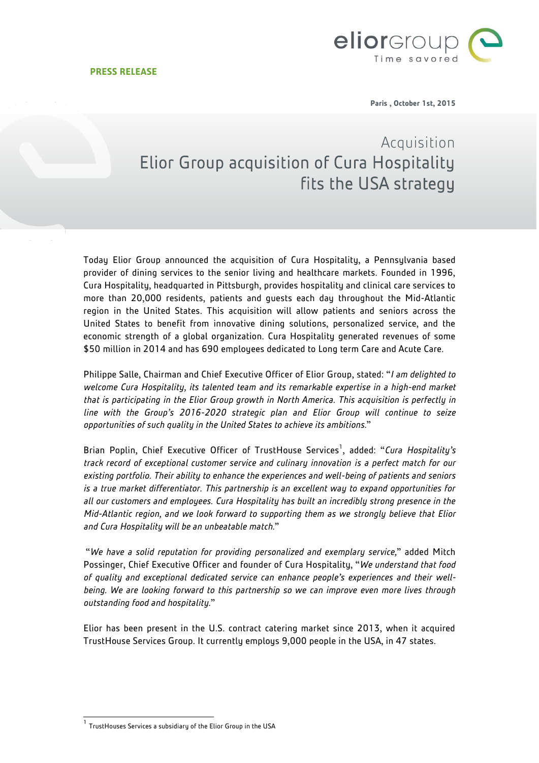

**Paris , October 1st, 2015**

## Acquisition Elior Group acquisition of Cura Hospitality fits the USA strategy

Today Elior Group announced the acquisition of Cura Hospitality, a Pennsylvania based provider of dining services to the senior living and healthcare markets. Founded in 1996, Cura Hospitality, headquarted in Pittsburgh, provides hospitality and clinical care services to more than 20,000 residents, patients and guests each day throughout the Mid-Atlantic region in the United States. This acquisition will allow patients and seniors across the United States to benefit from innovative dining solutions, personalized service, and the economic strength of a global organization. Cura Hospitality generated revenues of some \$50 million in 2014 and has 690 employees dedicated to Long term Care and Acute Care.

Philippe Salle, Chairman and Chief Executive Officer of Elior Group, stated: "*I am delighted to welcome Cura Hospitality, its talented team and its remarkable expertise in a high-end market that is participating in the Elior Group growth in North America. This acquisition is perfectly in line with the Group's 2016-2020 strategic plan and Elior Group will continue to seize opportunities of such quality in the United States to achieve its ambitions.*"

Brian Poplin, Chief Executive Officer of TrustHouse Services<sup>1</sup>, added: "Cura Hospitality's *track record of exceptional customer service and culinary innovation is a perfect match for our existing portfolio. Their ability to enhance the experiences and well-being of patients and seniors is a true market differentiator. This partnership is an excellent way to expand opportunities for all our customers and employees. Cura Hospitality has built an incredibly strong presence in the Mid-Atlantic region, and we look forward to supporting them as we strongly believe that Elior and Cura Hospitality will be an unbeatable match.*"

"*We have a solid reputation for providing personalized and exemplary service,*" added Mitch Possinger, Chief Executive Officer and founder of Cura Hospitality, "*We understand that food of quality and exceptional dedicated service can enhance people's experiences and their wellbeing. We are looking forward to this partnership so we can improve even more lives through outstanding food and hospitality.*"

Elior has been present in the U.S. contract catering market since 2013, when it acquired TrustHouse Services Group. It currently employs 9,000 people in the USA, in 47 states.

<sup>1&</sup>lt;br><sup>1</sup> TrustHouses Services a subsidiary of the Elior Group in the USA